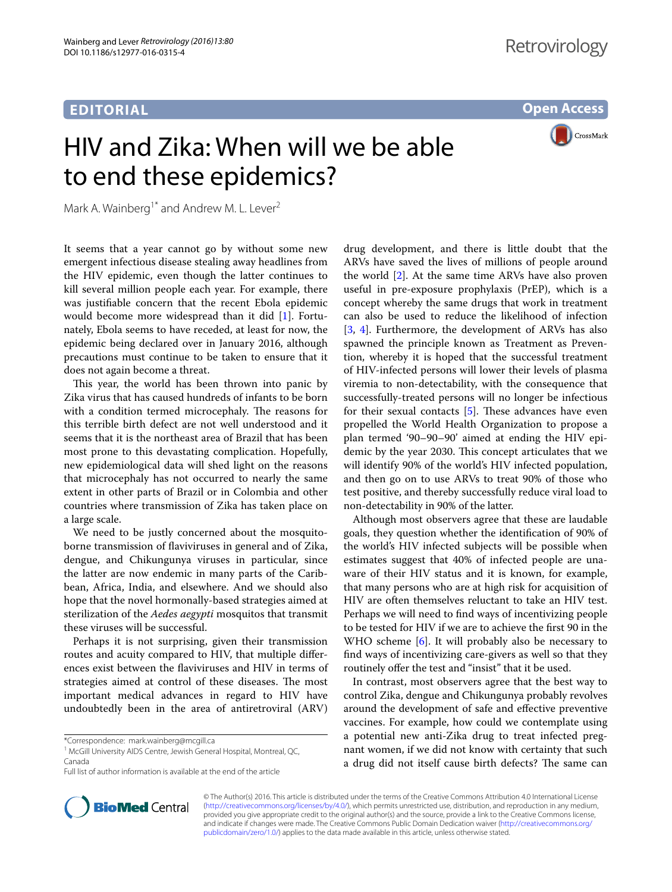## **EDITORIAL**

**Open Access**

# HIV and Zika: When will we be able to end these epidemics?



Mark A. Wainberg<sup>1\*</sup> and Andrew M. L. Lever<sup>2</sup>

It seems that a year cannot go by without some new emergent infectious disease stealing away headlines from the HIV epidemic, even though the latter continues to kill several million people each year. For example, there was justifiable concern that the recent Ebola epidemic would become more widespread than it did [\[1](#page-1-0)]. Fortunately, Ebola seems to have receded, at least for now, the epidemic being declared over in January 2016, although precautions must continue to be taken to ensure that it does not again become a threat.

This year, the world has been thrown into panic by Zika virus that has caused hundreds of infants to be born with a condition termed microcephaly. The reasons for this terrible birth defect are not well understood and it seems that it is the northeast area of Brazil that has been most prone to this devastating complication. Hopefully, new epidemiological data will shed light on the reasons that microcephaly has not occurred to nearly the same extent in other parts of Brazil or in Colombia and other countries where transmission of Zika has taken place on a large scale.

We need to be justly concerned about the mosquitoborne transmission of flaviviruses in general and of Zika, dengue, and Chikungunya viruses in particular, since the latter are now endemic in many parts of the Caribbean, Africa, India, and elsewhere. And we should also hope that the novel hormonally-based strategies aimed at sterilization of the *Aedes aegypti* mosquitos that transmit these viruses will be successful.

Perhaps it is not surprising, given their transmission routes and acuity compared to HIV, that multiple differences exist between the flaviviruses and HIV in terms of strategies aimed at control of these diseases. The most important medical advances in regard to HIV have undoubtedly been in the area of antiretroviral (ARV)

\*Correspondence: mark.wainberg@mcgill.ca



Although most observers agree that these are laudable goals, they question whether the identification of 90% of the world's HIV infected subjects will be possible when estimates suggest that 40% of infected people are unaware of their HIV status and it is known, for example, that many persons who are at high risk for acquisition of HIV are often themselves reluctant to take an HIV test. Perhaps we will need to find ways of incentivizing people to be tested for HIV if we are to achieve the first 90 in the WHO scheme [[6](#page-1-5)]. It will probably also be necessary to find ways of incentivizing care-givers as well so that they routinely offer the test and "insist" that it be used.

In contrast, most observers agree that the best way to control Zika, dengue and Chikungunya probably revolves around the development of safe and effective preventive vaccines. For example, how could we contemplate using a potential new anti-Zika drug to treat infected pregnant women, if we did not know with certainty that such a drug did not itself cause birth defects? The same can



© The Author(s) 2016. This article is distributed under the terms of the Creative Commons Attribution 4.0 International License [\(http://creativecommons.org/licenses/by/4.0/\)](http://creativecommons.org/licenses/by/4.0/), which permits unrestricted use, distribution, and reproduction in any medium, provided you give appropriate credit to the original author(s) and the source, provide a link to the Creative Commons license, and indicate if changes were made. The Creative Commons Public Domain Dedication waiver ([http://creativecommons.org/](http://creativecommons.org/publicdomain/zero/1.0/) [publicdomain/zero/1.0/](http://creativecommons.org/publicdomain/zero/1.0/)) applies to the data made available in this article, unless otherwise stated.

<sup>&</sup>lt;sup>1</sup> McGill University AIDS Centre, Jewish General Hospital, Montreal, QC, Canada

Full list of author information is available at the end of the article